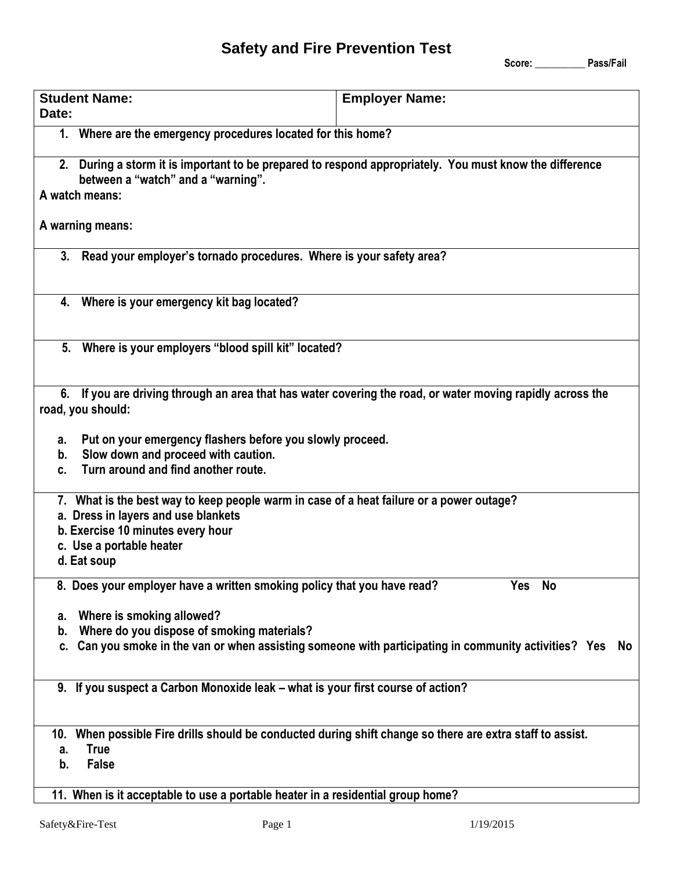## **Safety and Fire Prevention Test**

 **Score: \_\_\_\_\_\_\_\_\_\_ Pass/Fail**

| <b>Student Name:</b><br>Date:                                                                                       | <b>Employer Name:</b>                                                                                      |  |
|---------------------------------------------------------------------------------------------------------------------|------------------------------------------------------------------------------------------------------------|--|
| 1. Where are the emergency procedures located for this home?                                                        |                                                                                                            |  |
| between a "watch" and a "warning".                                                                                  | 2. During a storm it is important to be prepared to respond appropriately. You must know the difference    |  |
| A watch means:                                                                                                      |                                                                                                            |  |
| A warning means:                                                                                                    |                                                                                                            |  |
| 3. Read your employer's tornado procedures. Where is your safety area?                                              |                                                                                                            |  |
| 4. Where is your emergency kit bag located?                                                                         |                                                                                                            |  |
| 5. Where is your employers "blood spill kit" located?                                                               |                                                                                                            |  |
| road, you should:<br>Put on your emergency flashers before you slowly proceed.<br>а.                                | 6. If you are driving through an area that has water covering the road, or water moving rapidly across the |  |
| Slow down and proceed with caution.<br>b.<br>Turn around and find another route.<br>C.                              |                                                                                                            |  |
| a. Dress in layers and use blankets<br>b. Exercise 10 minutes every hour<br>c. Use a portable heater<br>d. Eat soup | 7. What is the best way to keep people warm in case of a heat failure or a power outage?                   |  |
| 8. Does your employer have a written smoking policy that you have read?                                             | <b>No</b><br>Yes                                                                                           |  |
|                                                                                                                     |                                                                                                            |  |
| Where is smoking allowed?<br>а.<br>Where do you dispose of smoking materials?<br>b.                                 |                                                                                                            |  |
| C.                                                                                                                  | Can you smoke in the van or when assisting someone with participating in community activities? Yes         |  |
| 9. If you suspect a Carbon Monoxide leak - what is your first course of action?                                     |                                                                                                            |  |
| 10.                                                                                                                 | When possible Fire drills should be conducted during shift change so there are extra staff to assist.      |  |
| <b>True</b><br>a.<br><b>False</b><br>b.                                                                             | No                                                                                                         |  |